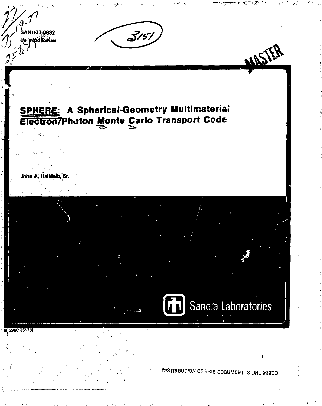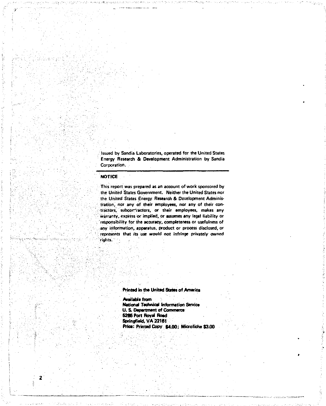Issued by Sandia Laboratories, operated for the United States Energy Research & Development Administration by Sandia Corporation.

## **NOTICE**

This report was prepared as an account of work sponsored by the United States Government. Neither the United States nor the United States Energy Research & Development Administration, nor any of their employees, nor any of their contractors, subcor-ractors, or their employees, makes any warranty, express or implied, or assumes any legal liability or responsibility for the accuracy, completeness or usefulness of any information, apparatus, product or process disclosed, or represents that its use would not infringe privately owned riyfris.

### **Printtd in th» United Stales of America**

**Available** from **National Technical Information Servica U. S. Department of Commerce 6286 Port Royal Road Springfiald. VA 22161 Prtoa: Printed Copy \$4.00;** Microfiche \$3.00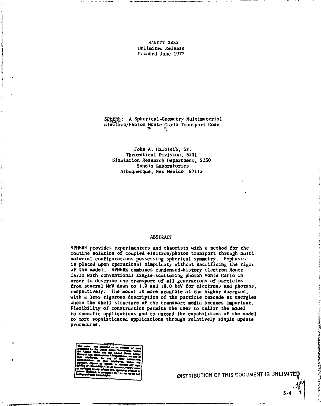**SAND77-0832 Unlimited Release Printed June 1977** 

SPHERE: A Spherical-Geometry Multimaterial **Electron/Photon Monte Carlo Transport Code** 

**John A. Halbleib, Sr. Theoretical Division, 5231 Simulation Research Department, 5230 Sandia Laboratories Albuquerque, New Mexico 87115** 

#### **ABSTRACT**

**SPHHRE provides experimenters and theorists with a method for the routine solution of coupled electron/photon transport through multimaterial configurations possessing spherical symmetry. Emphasis is placed upon operational simplicity without sacrificing the rigor of the model. SPHERE combines condensed-history electron Monte Carlo with conventional single-scattering photon Monte Carlo in order to describe the transport of all generations of particles from several MeV down to 1.0 and 10.0 keV for electrons and photons, respectively. The model is more accurate at the higher energies, with a less rigorous description of the particle cascade at energies where the shell structure of the transport media becomes important. Flexibility of construction permits the user to tailor the model to specific applications and to extend the capabilities of the model to more sophisticated applications through relatively simple update procedures.** 

**OISTRIBUTION OF THIS DOCUMENT IS UNLIMITE**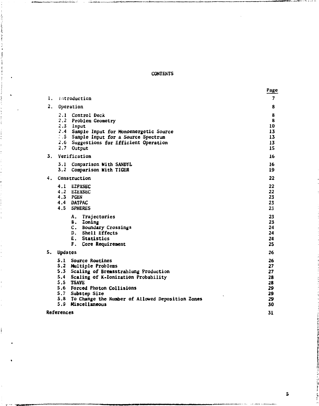# **CONTENTS**

表示

ì J

i

|    |                                                                                                                                                                                                                                                                                         | Page                                               |
|----|-----------------------------------------------------------------------------------------------------------------------------------------------------------------------------------------------------------------------------------------------------------------------------------------|----------------------------------------------------|
| ı. | Introduction                                                                                                                                                                                                                                                                            | 7                                                  |
| 2. | Operation                                                                                                                                                                                                                                                                               | 8                                                  |
|    | 2.1 Control Deck<br>2.2 Problem Geometry<br>2.3 Input<br>2.4 Sample Input for Monoenergetic Source<br>.5 Sample Input for a Source Spectrum<br>2.6 Suggestions for Efficient Operation<br>2.7 Output                                                                                    | 8<br>8<br>10<br>13<br>13<br>13<br>15               |
| 3. | Verification                                                                                                                                                                                                                                                                            | 16                                                 |
|    | 3.1<br>Comparison With SANDYL<br>Comparison With TIGER<br>3.2                                                                                                                                                                                                                           | 16<br>19                                           |
| 4. | Construction                                                                                                                                                                                                                                                                            | 22                                                 |
|    | 4.1<br><b>EZPXSEC</b><br>4.2 EZEXSEC<br>4.3 PGEN<br>4.4 DATPAC<br>4.5 SPHERES                                                                                                                                                                                                           | 22<br>22<br>23<br>23<br>23                         |
|    | Trajectories<br>Α.<br>B. Zoning<br>$\mathbf{c}$ .<br>Boundary Crossings<br>D. Shell Effects<br>E. Statistics<br>F.<br>Core Requirement                                                                                                                                                  | 23<br>23<br>24<br>24<br>24<br>25                   |
|    | 5. Updates                                                                                                                                                                                                                                                                              | 26                                                 |
|    | 5.1 Source Routines<br>5.2 Multiple Problems<br>5.3 Scaling of Bremsstrahlung Production<br>5.4<br>Scaling of K-Ionization Probability<br>5.5 TSAVE<br>5.6 Forced Photon Collisions<br>5.7 Substep Size<br>5.8 To Change the Number of Allowed Deposition Zones<br>5.9<br>Miscellaneous | 26<br>27<br>27<br>28<br>28<br>29<br>29<br>29<br>30 |
|    | References                                                                                                                                                                                                                                                                              |                                                    |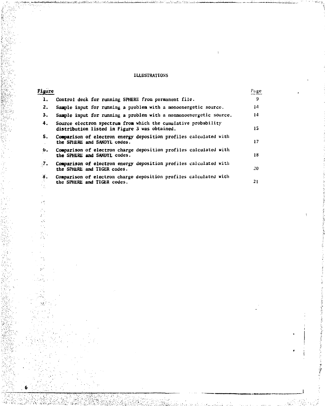# **ILLUSTRATIONS**

| Figure     |                                                                                                                 | Page |
|------------|-----------------------------------------------------------------------------------------------------------------|------|
| ı.         | Control deck for running SPHERE from permanent file.                                                            | 9    |
| 2.         | Sample input for running a problem with a monoenergetic source.                                                 | 14   |
| 3.         | Sample input for running a problem with a nonmonoenergetic source.                                              | 14   |
| 4.         | Source electron spectrum from which the cumulative probability<br>distribution listed in Figure 3 was obtained. | 15   |
| 5.         | Comparison of electron energy deposition profiles calculated with<br>the SPHERE and SANDYL codes.               | 17   |
| 6.         | Comparison of electron charge deposition profiles calculated with<br>the SPHERE and SANDYL codes.               | 18   |
| $\cdot$ 7. | Comparison of electron energy deposition profiles calculated with<br>the SPHERE and TIGER codes.                | 20.  |
| 8.         | Comparison of electron charge deposition profiles calculated with<br>the SPHERE and TIGER codes.                | 21   |

穿空道

**CONTRACTOR IN THE PARTY** 

医子宫

 $\mathbb{R}^d_+$  $\tilde{\mathcal{E}}$  $\frac{1}{2} \vec{\lambda}$ ç., h.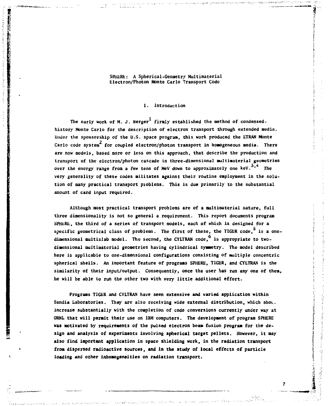### **SPlUiRK: A Spherical-Geometry Multimaterial Electron/Photon Monte Carlo Transport Code**

### **1. Introduction**

The early work of M. J. Berger<sup>1</sup> firmly established the method of condensed**history Monte Carlo for the description of electron transport through extended media. Under the sponsorship of the U.S. space program, this work produced the ETRAN Monte**  Carlo code system<sup>2</sup> for coupled electron/photon transport in homogeneous media. There **are now models, based more or less on this approach, that describe the production and transport of the electron/photon cascade in three-dimensional multimaterial geometries**  over the energy range from a few tens of MeV down to approximately one keV.<sup>3,4</sup> The **very generality of these codes militates against their routine employment in the solution of many practical transport problems. This is due primarily to the substantial amount of card input required.** 

**Although most practical transport problems are of a multimaterial nature, full three dimensionality is not so general a requirement. This report documents program SPHERE, the third of a series of transport models, each of which is designed for a**  specific geometrical class of problems. The first of these, the TIGER code.<sup>5</sup> is a onedimensional multislab model. The second, the CYLTRAN code.<sup>6</sup> is appropriate to two**dimensional multinaterial geometries having cylindrical symmetry. The model described here is applicable to one-dimensional configurations consisting of multiple concentric spherical shells. An important feature of programs SPHERE, TIGER, and CYLTRAN is the similarity of their input/output. Consequently, once the user has run any one of then, he will be able to run the other two with very little additional effort.** 

**Programs TIGER and CYLTRAN have seen extensive and varied application within Sandia Laboratories. They are also receiving wide external distribution, which shou. increase substantially with the completion of code conversions currently under way at ORNL that will permit their use on IBM computers. The development of program SPHERE was motivated by requirements of the pulsed electron beam fusion program for the design and analysis of experiments involving spherical target pellets. However, it may also find important application in space shielding work, in the radiation transport from dispersed radioactive sources, and in the study of local effects of particle loading and other inhomogeneities on radiation transport.** 

ż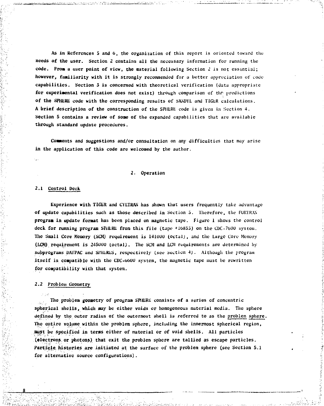**As in References S and** *b,* **the organization of this report is oriented toward the needs of the user. Section 2 contains all the necessary information for running the code. Froa a user point of view, the material following Section 2 is not essential;**  however, familiarity with it is strongly recommended for a better appreciation of code **capabilities. Section 3 is concerned with theoretical verification (data appropriate for experimental verification does not exist) through comparison of the predictions of the SPHiiKli code with the corresponding results of SA\DYL and T1GLR calculations. A brief description of the construction of the SPIILRt code is given in Section 4. Section 5 contains a review of sone of the expanded capabilities that are available through standard update procedures.** 

**Comments and suggestions and/or consultation on any difficulties that may arise in the application of this code arc welcomed by the author.** 

### *2.* Operation

### **2.1 Control Deck**

**Experience with TIGER and CYLTKAN has shown that users frequently take advantage of update capabilities such as those described in Section 5. Therefore, the FORTRAN program in update format has been placed on magnetic tape. Figure 1 shows the control**  deck for running program SPilERE from this file (tape #10855) on the CDC-7600 system. **The Small Core Memory [SCMJ requirement is N10U0 (octal), and the Large Core Memory (LCM) requirement is 2450UU (octal). The SCM and LCM requirements are determined by subprograms DATPAC and Si'HLKLS, respectively (see Section -4). Although the program itself is compatible with the CDC-ouUO system, the magnetic tape must be rewritten**  for compatibility with that system.

### **2.2 Problem Geometry**

**The problem geometry of program SPlUiRl: consists of a scries of concentric spherical shells, which nay be cither voids or homogeneous material media. The sphere defined by the outer radius of the outermost shell is referred to as the problem sphere. The entire volume within the problem sphere, including the innermost spherical region, must be specified in terms cither of material or of void shells. All particles (electrons or photons) that exit the problem sphere are tallied as escape particles. Particle, histories are initiated at the surface of the problem sphere (sec Section 5.1 for alternative source configurations).**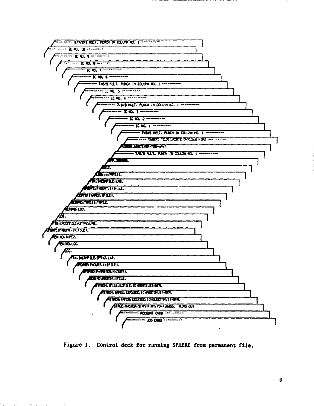

Figure 1. Control deck for running SPHERE from permanent file.

tina se po

conservation of the conservations of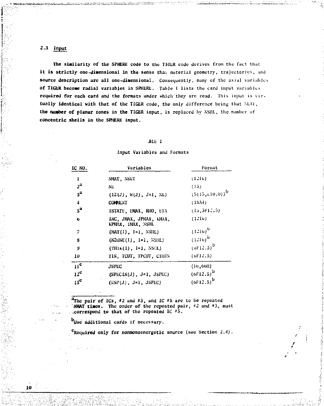# **2.3 Input**

10

The similarity of the SPHERE code to the TIGER code derives from the fact that it is strictly one-dimensional in the sense tha<sub>l</sub> material geometry, trajectories, and **source description arc all one-dimensional. Consequently, many of the axial variables**  of TIGER become radial variables in SPIERE. Table 1 lists the card input variables **required for each card and the formats under which they arc read. This input is vir**tually identical with that of the TIGER code, the only difference being that MAY, **the number of planar zones in the TIGER input, is replaced by XSIIL, the number of**  concentric shells in the SPHERE input.

## **BLE 1**

# **Input Variables and Formats**

| IC NO.                  | Variables                                    | Format                 |
|-------------------------|----------------------------------------------|------------------------|
| $\mathbf{1}$            | NMAT, NSET                                   | (1.10)                 |
| 2 <sup>th</sup>         | NE                                           | (15)                   |
| 3 <sup>a</sup>          | $(1Z(J), W(J), J=1, NE)$                     | $(5(15,110,0))^6$      |
| $\overline{\mathbf{4}}$ | <b>COMMENT</b>                               | (1834)                 |
| 5ª                      | ISTATE, EMAX, RHO, ETA                       | (15, 3F12, 5)          |
| 6                       | INC. JMAX. JPMAX. KMAX.<br>KPMAX, IMAX, NSHL | (12I0)                 |
| 7                       | $(MAT(1), I=1, NSHL)$                        | $(1216)^{6}$           |
| 8                       | $(NZONE(I), I=1, NSHL)$                      | $(1216)^{b}$           |
| ŋ                       | $(TH1K(1), 1=1, NS: L)$                      | (of 12.5) <sup>b</sup> |
| 10                      | TIN, TCUT, TPCUT, CTHIN                      | (6112.5)               |
| 11 <sup>c</sup>         | <b>JSPEC</b>                                 | (10, 60H)              |
| $12^{\circ}$            | $(SPECIN(J)$ , J=1, JSPEC)                   | $(6F12.5)^{b}$         |
| 13 <sup>c</sup>         | $(ESP(J), J=1, JSPEC)$                       | $(6F12.5)^{b}$         |

**"The pair of ICs,** *«2* **and »3, and 1C #5 are to be repeated "NMAT times. The order of the repeated pair,** *«2* **and \*3, must . .correspond to tliat of the repeated IC "3.** 

**Use additional cards if necessary.** 

**'Required only for nonmonoenorgetic source (see Section** *2.A) ,*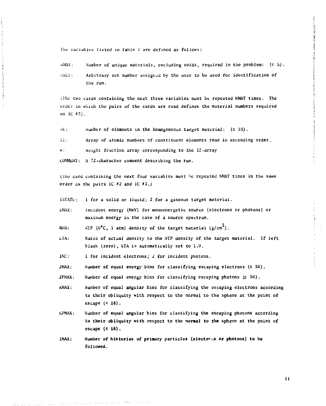Control of the Control of Control of Control of Control of Control

The variables listed in Table I are defined as follows:

- $N_M$ .  $N_M$  Number of unique materials, excluding voids, required in the problem:  $(55)$ .
- $\Delta$ SEI: Arbitrary set number assigned by the user to be used for identification of the run.

(The two cards containing the next three variables must be repeated NMAT times. The order in which the pairs of the cards are read defines the material numbers required on IC «7j.

- $\lambda E$ : Number of elements in the homogeneous target material:  $(5\ 10)$ .
- 12: Array of atomic numbers of constituent elements read in ascending order.

 $h$ : Weight fraction array corresponding to the IZ-array.

L'OMMtN'i: A 72-character comment describing the run.

(The card containing the next four variables must he repeated NMAT times in the same order as the pairs 1C »2 and iC #3.)

 $1$ STATE:  $1$  for a solid or liquid; 2 for a gaseous target material.

EMAX: Incident energy (MeV) for monoenergetic source (electrons or photons) or maximum energy in the case of a source spectrum.

RHO:  $\text{NTP}$  (0°C, 1 atm) density of the target material (g/cm<sup>3</sup>).

- $ETA$ : Ratio of actual density to the NTP density of the target material. If left blank (zero), tTA is automatically set to 1.0.
- INC: I for incident electrons; *I* for incident photons.

JMAX: Number of equal energy bins for classifying escaping electrons  $(50)$ .

- JPMAX: Number of equal energy bins for classifying escaping photons  $(s 50)$ .
- KMAX: Number of equal angular bins for classifying the escaping electrons according to their obliquity with respect to the normal to the sphere at the point of escape (< 18).
- KPMAX: Number of equal angular bins for classifying the escaping photons according to their obliquity with respect to the noraal to the sphere at the point of escape  $(518)$ .
- IMAX: Number of histories of primary particles (electros or photons) to be followed.

11

communication of the communication of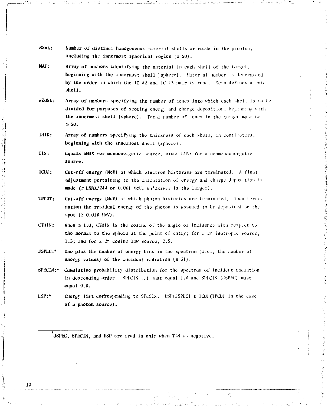- **•Will.: Number of distinct** homogeneous material shells or voids in the prohlom, including the innermost spherical region  $(5.50)$ .
- **MAT: Array of numbers identifying** the material in each shell of the target, **beginning with the** innermost shell (sphere) . Material number is determined **by the order** in which the 1C "2 and 1C «3 pair is road. Zero defines a void **shell.**
- *NZONb:* Array of numbers specifying the number of zones into which each shell is to be divided for purposes of scoring energy and charge deposition, beginning with **the innermost shell** (sphere). Total number of cones in the target must be **£50.**
- **TillK: Array of numbers specifying the** thickness of each shell, in centimeters, **beginning with the innermost shell (sphere).**
- **TIN: liquals tHAX for** monoencrgetic source, minus I.MAX for a nonmonouncrgctic **source.**
- **TCUT: Cut-off energy (McV) at which** electron histories are terminated. A final **adjustment pertaining** to the calculation of energy and charge deposition is made (2 EMAX/244 or 0.001 MeV, whichever is the larger).
- **TPCUT: Cut-off energy (McV)** at which photon histories are terminated. Upon **termination the residual** energy of the photon is assumed to be deposited on the **spot (> 0.01U** MeV)**.**
- **CHUN: Khen**  $\leq$  1.0, CHHN is the cosine of the angle of incidence with respect to. **the normal to the** sphere **at** the point of entry; for a Jr isotropic source, **1.5; and for a** *-?* cosine **law** source, J.5.
- **JSPEC:\*** One plus the number of energy bins in the spectrum (i.e., the number of **energy values) of the incident radiation**  $(5.51)$ **.**
- **SPliCIN:\* Cumulative probability** distribution for the spectrum of incident radiation in descending order. SPECIX (1) must equal 1.0 and SPECIN (JSPEC) must **equal 'J.U.**
- $LSP:$  **thergy list corresponding to SPECIX.** LSP(JSPEC)  $\geq$  TCUT(TPCUT in the case **of a photon source).**

**JSPhC, SPhCIN, and ESP are read in only when TIN is negative.**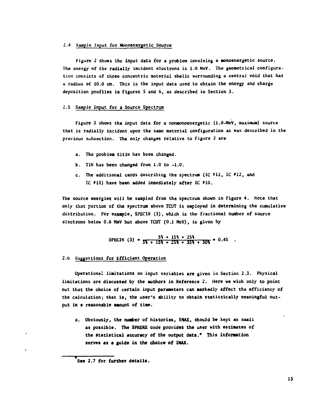### **2.4 Sample Input for Monoenergetic Source**

**Figure 2 shows the input data for a problem involving a aonoenergetic source. The energy of the radially incident electrons is 1.0 MeV. The geometrical configuration consists of three concentric material shells surrounding a central void that has a radius of 10.0 cm. This is the input data used to obtain the energy and charge deposition profiles in Figures 5 and 6, as described in Section 3.** 

# **2.5 Sample Input for a Source Spectrum**

**Figure 3 shows the input data for a nonnonoenergetic (1.0-NeV, maximum) source that is radially incident upon the same material configuration as was described in the previous subsection. The only changes relative to Figure 2 are** 

- **a. The problem title has been changed.**
- **b. TIN has been changed from 1.0 to -1.0.**
- **c. The additional cards describing the spectrum (IC HI , IC \*12, and IC 013} have been added immediately after** *IC* **#10.**

**The source energies will be sampled from the spectrum shown in Figure 4. Note that only that portion of the spectrum above TCUT is employed in determining the cumulative distribution. For example, SPECIN (3), which is the fractional number of source electrons below 0.6 MeV but above TCUT (0.1 MeV), is given by** 

SPECIN (3) = 
$$
\frac{5\frac{1}{3} + 15\frac{1}{3} + 25\frac{1}{3}}{5\frac{1}{3} + 15\frac{1}{3} + 25\frac{1}{3} + 35\frac{1}{3} + 30\frac{1}{3}} = 0.45
$$
.

# **2.6 Suggestions for Efficient Operation**

**Operational limitations on input variables are given in Section 2.3. Physical limitations are discussed by the authors in Reference 2. Here we wish only to point out that the choice of certain input parameters can markedly affect the efficiency of the calculation; that is, the user's ability to obtain statistically meaningful Output in a reasonable amount of time.** 

**a. Obviously, the number of histories, IMAX, should be kept as small as possible. The SPHERE code provides the user with estimates of the statistical accuracy of the output data.\* This information serves as a guide in the choice of MAX.** 

<sup>1</sup>  **See 2.7 for further details.**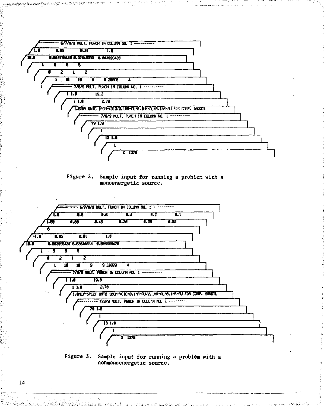

Figure 2. Sample input for running a problem with a monoenergetic source.



Figure 3. Sample input for running a problem with a nonmonoenergetic source.

14

<u> Alandari di Manazira del Manazira de Campione de Ca</u>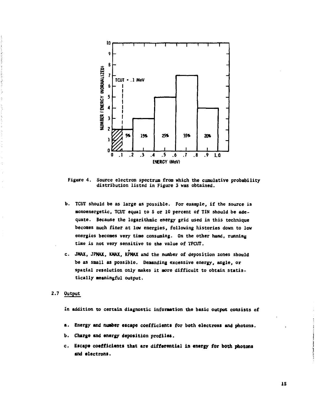

**Figure 4. Source electron spectrum from which the cumulative probability distribution listed in Figure 3 was obtained.** 

- **b. TCUT should be as large as possible. For example, if the source is monoenergetic, TCUT equal to 5 or 10 percent of TIN should be adequate. Because the logarithmic energy grid used in this technique becomes much finer at low energies, following histories down to low energies becomes very time consuming. On the other hand, running time is not very sensitive to the value of TPCUT.**
- **c. JMAX, JPNAX, KMAX, KPNAX and the number of deposition zones should be as small as possible. Demanding excessive energy, angle, or spatial resolution only makes it more difficult to obtain statistically meaningful output.**

## **2.7 Output**

**In addition to certain diagnostic information the basic output consists of** 

- **a. Energy and number escape coefficients for both electrons and photons.**
- **b. Charge and energy deposition profiles.**
- **c. Escape coefficients that are differential in energy for both photons and electrons.**

**IS**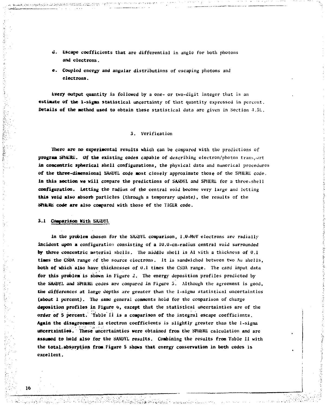- **d. Escape coefficients** that are differential in angle for both photons **and electrons.**
- **e. Coupled energy and angular** distributions of escaping photons and **electrons.**

**tvery output quantity is followed** by a one- or two-digit integer that is an **estimate of the 1-sigaa** statistical uncertainty of that quantity expressed in percent. **Details of the method used to obtain these statistical data are given in Section 4.5L.** 

### 3. Verification

**There are no experimental results which** can be compared with the predictions of **program S111ERE. Of the existing codes capable** of describing electron/photon transport **in concentric spherical shell configurations,** the physical data and numerical procedures **of the three-dimensional SANDYL code most** closely approximate those of the SPHERE code. **In this section we will compare the predictions of SANDYL** and SPHERE for a three-shell **configuration. Letting the radius of the central** void become very large and letting **this void also absorb** particles (through a temporary update), the results of the SPINERE code are also compared with those of the TIGER code.

**3.1 Comparison With SANDYL** 

**In the problem** chosen for the SANDYL comparison, 1.0-MeV electrons are radially **incident upon a** configuration consisting of **a** lU.U-cm-radius central void surrounded **by three** concentric material shells. The middle shell is Al with a thickness of 0.1 **times the CSDA range** of the source electrons. It is sandwiched between two Au shells, **both of which also have** thicknesses **of** 0.1 **times** the CSDA range. The card input data **for this problem is shown in Figure** 2. The energy deposition profiles predicted by **the SANUYE and SPHERE codes** are compared **in** Figure 5. Although the agreement is good, the differences at large depths are greater than the 1-sigma statistical uncertainties **(about 1 percent)**. **The** same general comments hold for the comparison of charge **deposition profiles in Figure o, except that the statistical uncertainties** are **of** the order of 5 percent. Table II is a comparison of the integral escape coefficients. **Again the disagreement in electron coefficients** is **slightly** greater than the 1-sigma **uncertainties. These uncertainties were obtained from the SPHERE calculation and** arc **assumed to hold also for the SANDYL results. Combining the results from Table II with the total-absorption from Figure 5 shows that energy conservation in both codes is excellent.**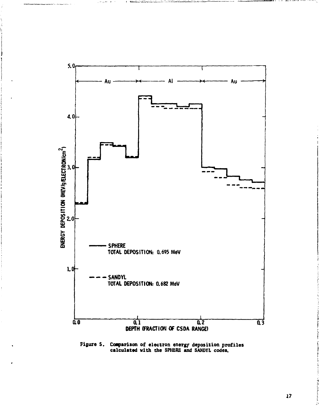

Figure 5. Comparison of electron energy deposition profiles<br>calculated with the SPHERE and SANDYL codes.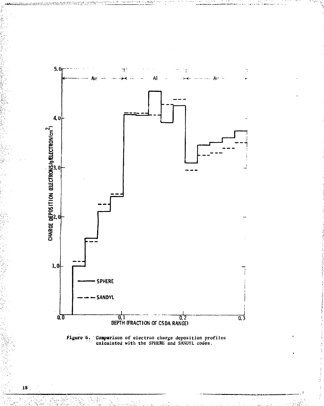

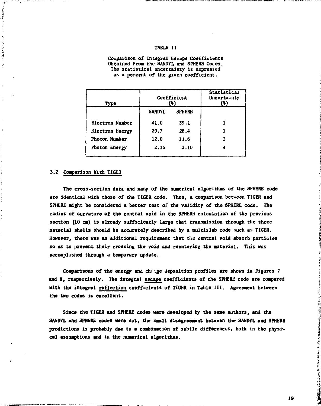## **TABLE II**

**Comparison of Integral Escape Coefficients Obtained Froa the SANDYL and SPHERE Codes. The statistical uncertainty is expressed as a percent of the given coefficient.** 

| Туро            | Coefficient<br>$\bf{^{(k)}}$ |               | Statistical<br>Uncertainty<br>(*) |
|-----------------|------------------------------|---------------|-----------------------------------|
|                 | <b>SANDYL</b>                | <b>SPHERE</b> |                                   |
| Electron Number | 41.0                         | 39.1          |                                   |
| Electron Energy | 29.7                         | 28.4          |                                   |
| Photon Number   | 12.0                         | 11.6          |                                   |
| Photon Energy   | 2.16                         | 2.10          |                                   |

### **3.2 Coaparison With TIGER**

**AMCRES** 

 $\label{eq:2.1} \begin{array}{c} \mathcal{L}_{\mathcal{A}} & \mathcal{L}_{\mathcal{A}} & \mathcal{L}_{\mathcal{A}} \\ \mathcal{L}_{\mathcal{A}} & \mathcal{L}_{\mathcal{A}} & \mathcal{L}_{\mathcal{A}} \\ \mathcal{L}_{\mathcal{A}} & \mathcal{L}_{\mathcal{A}} & \mathcal{L}_{\mathcal{A}} \\ \mathcal{L}_{\mathcal{A}} & \mathcal{L}_{\mathcal{A}} & \mathcal{L}_{\mathcal{A}} \\ \end{array} \end{array}$ 

The cross-section data and many of the numerical algorithms of the SPHERE code **are identical with those of the TIGER code. Thus, a coaparison between TIGER and SPHERE aight be considered a better test of the validity of the SPHERE code. The radius of curvature of the central void in the SPHERE calculation of the previous section (10 cm) is already sufficiently large that transmission through the three aaterial shells should be accurately described by a aultislab code such as TIGER.**  However, there was an additional requirement that the central void absorb particles **so as to prevent their crossing the void and reentering the material. This was accomplished through a temporary update.** 

**Comparisons of the energy and ch; rge deposition profiles are shown in Figures 7 and 8, respectively. The integral escape coefficients of the SPHERE code are compared with the integral reflection coefficients of TIGER in Table III. Agreement between the two codes is excellent.** 

**Since the TIGER and SPHERE codes were developed by the same authors, and the SANDYL and SPHERE codes were not, the saall disagreement between the SANDYL and SPHERE**  predictions is probably due to a combination of subtle differences, both in the physi**cal assumptions and in the numerical algorithms.** 

**CONSTRUCTION OF THE CONSTRUCTION OF THE CONSTRUCTION OF THE CONSTRUCTION OF THE CONSTRUCTION OF THE CONSTRUCTION OF THE CONSTRUCTION OF THE CONSTRUCTION OF THE CONSTRUCTION OF THE CONSTRUCTION OF THE CONSTRUCTION OF THE C**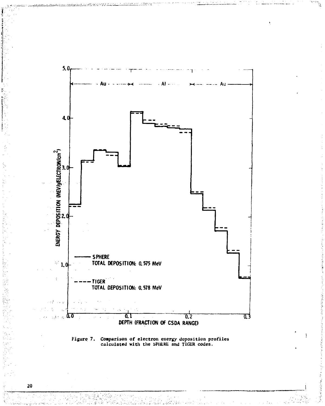

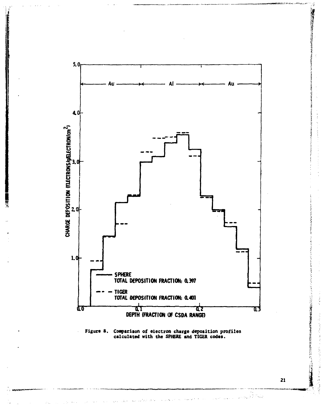

# Figure 8. Comparison of electron charge deposition profiles<br>calculated with the SPHERE and TIGER codes.

21

Property of the contract of the contract of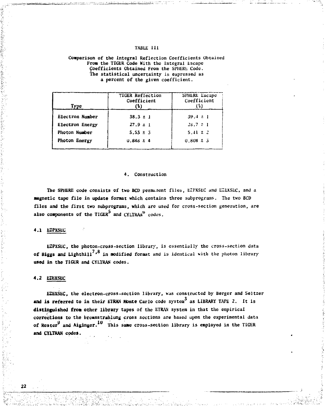## **TABU: H I**

### **Comparison of the Integral Reflection Coefficients Obtained From the TIGIiR Code Kith the Integral Escape Coefficients Obtained From the SPHERE Code. The statistical uncertainty is expressed as a percent of the given coefficient.**

| Type            | TIGER Reflection<br>Coefficient<br>(%) | SPHERE Escape<br>Coefficient<br>(៖) |
|-----------------|----------------------------------------|-------------------------------------|
| Electron Number | $38.3 \pm 1$                           | $39.4 \pm 1$                        |
| Electron Energy | $27.9 \pm 1$                           | $28.7 \pm 1$                        |
| Photon Number   | $5.53 \pm 3$                           | $5.41 \pm 2$                        |
| Photon Energy   | $0.848 \pm 4$                          | $0.808 \pm 3$                       |

### **4. Construction**

**The SPHERE code consists of two BCD permanent files, EZPXSEC and EZEXSLC, and a magnetic tape file in update format which contains three subprograms. The two BCD files and the first two subprograms, which are used for cross-section generation, are**  also components of the TIGER<sup>5</sup> and CYLTRAN<sup>0</sup> codes.

### **4.1 EZPXSEC**

**EZPXSEC, the photon-cross-section library, is essentially the cross-section data 7 8 of Biggs and Lighthill ' in modified format and is identical with the photon library used in the TIGER and CYU'RAN codes.** 

### **4.2 EZEXSEC**

**EZEXSEC, the electron-cross-section library, was constructed by Berger and Seltzer and is referred to in their ETRAN Monte Carlo code system0 as LIBRARY TAPE 2. It is distinguished from other library tapes of the ETRAN system in that the empirical corrections to the brcmsstrahlung cross sections are based upon the experimental data**  of Rester<sup>9</sup> and Aiginger.<sup>10</sup> This same cross-section library is employed in the TIGER **of Hester and Aiginger. This same cross-section library is employed in the TIGER and CYLTRAN codes.**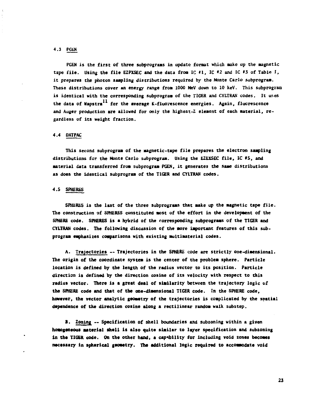## **4.3 PGEN**

**PGEN is the first of three subprograms in update format which make up the magnetic tape file. Using the file EZPXSEC and the data froa 1C #1, IC \*2 and IC #3 of Table I, it prepares the photon sampling distributions required by the Monte Carlo subprogram. These distributions cover an energy range froa 1000 NeV down to 10 keV. This subprogram is identical with the corresponding subprogram of the TIGER and CYLTRAN codes. It uses the data of Napstra for the average K-fluorescence energies. Again, fluorescence and Auger production are allowed for only the highest-Z element of each material, regardless of its weight fraction.** 

# **4.4 DATPAC**

**This second subprogram of the magnetic-tape file prepares the electron sampling distributions for the Monte Carlo subprogram. Using the EZEXSEC file, IC #5, and material data transferred from subprogram PGEN, it generates the same distributions as does the identical subprogram of the TIGER and CYLTRAN codes.** 

### **4.5 SPHERES**

**SPHERES is the last of the three subprograms that make up the magnetic tape file. The construction of SPHERES constituted most of the effort in the development of the SPHERE code. SPHERES is a hybrid of the corresponding subprograms of the TIGER and CYLTRAN codes. The following discussion of the more important features of this subprogram emphasizes comparisons with existing multimaterial codes.** 

**A. Trajectories — Trajectories in the SPHERE code are strictly one-dimensional. The origin of the coordinate system is the center of the problem sphere. Particle location is defined by the length of the radius vector to its position. Particle direction is defined by the direction cosine of its velocity with respect to this radius vector. There is a great deal of similarity between the trajectory logic of the SPHERE code and that of the one-dimensional TIGER code. In the SPHERE code, however, the vector analytic geometry of the trajectories is complicated by the spatial dependence of the direction cosine along a rectilinear random walk substep.** 

**B. Zoning — Specification of shell boundaries and subzoning within a given homogeneous material shell is also quite similar to layer specification and subzoning in the TIGER code. On the other hand, a capability for including void zones becomes necessary in spherical geometry. The additional logic required to accommodate void**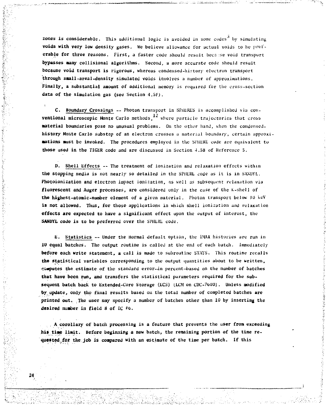**zones is considerable.** This additional logic is avoided in some codes<sup>3</sup> by simulating **voids with very low density gases. We believe allowance for actual voids to he pref**erable for three reasons. First, a faster code should result because void transport **bypasses many collisional algorithms. Second, a more accurate code should result because void transport is rigorous, whereas condensed-history electron transport through snail-areal-density simulated voids involves a number of approximations. Finally, a substantial amount of additional memory is required for the cross-section data of the sinulation gas (see Section 4.5FJ.** 

C. Boundary Crossings -- Photon transport in SPHERES is accomplished via con**ventional microscopic Monte Carlo methods, 12** where particle trajectories that cross **material boundaries pose no unusual problems. On the other hand, when the condensedhistory Monte Carlo substcp of an electron crosses a material boundary, certain approxiaations nust be invoked. The procedures employed in the SPHERE code are equivalent to those used in the TIGER code and are discussed in Section 4.SB of Reference S.** 

**D. Shell Effects -- The treatment of ionization and relaxation effects within the stopping media is not nearly so detailed in the SPHERE code as it is in SANUYL. Photoionization and electron impact ionization, as well as subsequent relaxation via fluorescent and Auger processes, are considered only in the case of the K-shell of the highest-atoaic-number element of a given material. Photon transport below JO KeV is not allowed. Thus, for those applications in which shell ionization and relaxation effects are expected to have a significant effect upon the output of interest, the SANUYL code is to be preferred over the SPHERE code.** 

**E. Statistics — Under the normal default option, the 1MAX histories are run in 10 equal batches. The output routine is called at the end of each batch. Immediately before each write statement, a call is made to subroutine STATS. This routine recalls the statistical variables corresponding to the output quantities about to be written, computes the estimate of the standard error-in percent-based on the number of batches that have been run, and transfers the statistical parameters required for the sub**sequent batch back to Extended-Core Storage (ECS) (LCM on CDC-7600). Unless modified **by update, only the final results based ou the total number of completed batches are printed out. The user may specify a number of batches other than 1U by inserting the**  desired number in field 8 of IC #6.

**A corollary of batch processing is a feature that prevents the user from exceeding his time limit. Before beginning a new batch, the remaining portion of the time requested for the job is compared with an estimate of the time per batch. If this**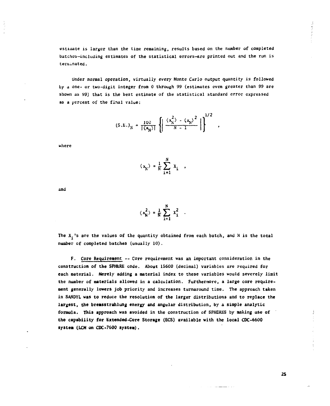**estimate is larger than the time remaining, results based on the number of completed batches-including estimates of the statistical errors-are printed out and the run is terminated.** 

**Under normal operation, virtually every Monte Carlo output quantity is followed by a one- or two-digit integer from 0 through 99 (estimates even greater than 99 are shown as 99) that is the best estimate of the statistical standard error expressed as a percent of the final value:** 

$$
(S.E.)_N = \frac{100}{|\langle x_N \rangle|} \left\{ \left| \frac{\langle x_N^2 \rangle - \langle x_N \rangle^2}{N - 1} \right| \right\}^{1/2}
$$

 $\sim$   $\sim$   $\sim$ 

where

$$
\langle x_{N} \rangle = \frac{1}{N} \sum_{i=1}^{N} x_{i}
$$

**and** 

$$
\langle x_N^2 \rangle = \frac{1}{N} \sum_{i=1}^N x_i^2
$$

**The X.'s are the values of the quantity obtained from each batch, and N is the total number of completed batches (usually 10).** 

**F. Core Requirement -- Core requirement was an important consideration in the construction of the SPHERE code. About 1S600 (decimal) variables are required for each material. Merely adding a material index to these variables would severely limit the number of materials allowed in a calculation. Furthermore, a large core requirement generally lowers job priority and increases turnaround time. The approach taken in SANDYL was to reduce the resolution of the larger distributions and to replace the largest, the breasstrahlung energy and angular distribution, by a simple analytic formula. This approach was avoided in the construction of SPHERES by making use of the capability for Extended-Core Storage (ECS) available with the local CDC-6600 system (LCH on CDC-7600 system),** 

**2S** 

 $1000 - 1000 - 1000$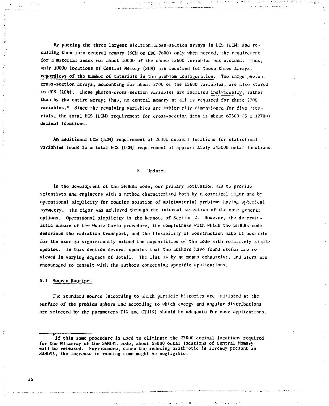By putting the three largest electron-cross-section arrays in ECS (LCM) and recalling them into central memory (SCM on CDC-7600) only when needed, the requirement **for a material index for about 10000 of the above 1S600 variables was avoided. Thus, only 1U0UU locations of Central Memory (SCM) are required for those three arrays, regardless of the number of materials in the problem configuration. Two large photoncross-section arrays, accounting for about 2700 of the 15600 variables, are also stored**  in ECS (LCH). These photon-cross-section variables are recalled individually, rather **than by the entire array; thus, no central memory at all is required for these 2700 variables." Since the remaining variables are arbitrarily dimensioned for five materials, the total liCS (LCH) requirement for cross-section data is about 63S00 (5 x 12700} decimal locations.** 

Bushmanner Palo Insertion

**An additional liCS (l£M) requirement of 20400 decimal locations for statistical variables leads to a total ECS (LCM)** requirement of approximately 245000 octal locations.

### **5. Updates**

In the development of the SPIIERE code, our primary motivation was to provide **scientists and engineers with a method characterized both by theoretical rigor and by opcrational simplicity for routine solution of imiltimaterial problems having spherical synaetry. The rigor was achieved through the internal selection of the roost general options. Operational simplicity is the keynote of Section 2. However, the determin**istic nature of the Monte Carlo procedure, the completness with which the SPHERE code **describes the radiation transport, and the flexibility of construction make it possible for the user to significantly extend the capabilities of the code with relatively simple updates. In this section several updates that the authors havo found useful are reviewed in varying degrees of detail. The list is by no means exhaustive, and users are encouraged to consult with the authors concerning specific applications.** 

# **S.l Source Routines**

**The standard source (according to which particle histories are initiated at the surface of the problem sphere and according to which energy and angular distributions**  are selected by the parameters TIN and CTHIN) should be adequate for most applications.

**If this same procedure is used to eliminate the 27000 decimal locations required for the HI-array of the SANDYL code, about 65000 octal locations of Central Memory will be released. Furthermore, since the indexing arithmetic is already present in SANUYL, the increase in running time might be negligible.**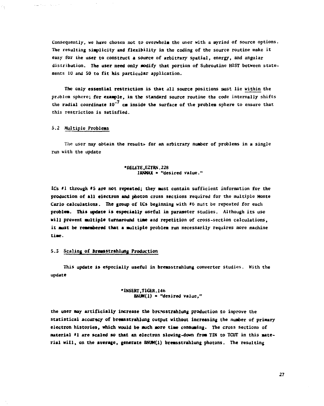**Consequently, we have chosen not to overwhelm the user with a myriad of source options. The resulting simplicity and flexibility in the coding of the source routine make it easy for the user to construct a source of arbitrary spatial, energy, and angular distribution. The user need only Modify that portion of Subroutine HIST between statements 10 and 50 to fit his particular application.** 

**The only essential restriction is that ill source positions oust lie within the problem sphere; for example, in the standard source routine the code internally shifts**  the radial coordinate 10<sup>-7</sup> cm inside the surface of the problem sphere to ensure that **this restriction is satisfied.** 

### **5.2 Multiple Problems**

and with the company

The user may obtain the results for an arbitrary number of problems in a single **run with the update** 

> **•DELETE.EZTRN. 228 IRNWU » "desired value."**

**ICs »1 through »5 are not repeated; they must contain sufficient information for the production of all electron and photon cross sections required for the multiple Monte Carlo calculations. The group of ICs beginning with #6 must be repeated for each problem. This update is especially useful in parameter studies. Although its use will prevent multiple turnaround time and repetition of cross-section calculations, it must be remembered that a multiple problem run necessarily requires more machine time.** 

# 5.3 Scaling of Bremsstrahlung Production

**This update is especially useful in bremsstrahlung converter studies. With the update** 

> **•1NSERT.T1GER.146 BNUM(l) • "desired value,"**

**the user may artificially increase the brcnsstrahlung production to improve the statistical accuracy of bremsstrahlung output without increasing the number of primary electron histories, which would be much more time consuming. The cross sections of material \*1 are scaled so that an electron slowing-down from TIN to TCUT in this material will, on the average, generate BNUM(l) bremsstrahlung photons. The resulting**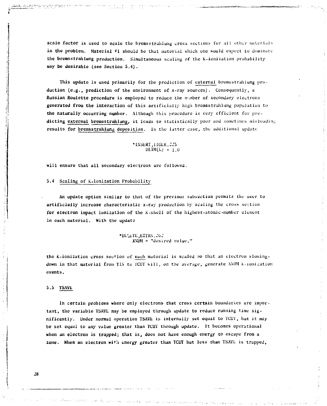scale factor is used to scale the bremsstrahlung cross sections for all other materials in the problem. Material #1 should be that material which one would expect tu dominate the bremsstrahlung production. Simultaneous scaling of the K-ionization probability may be desirable (see Section 5.4).

This update is used primarily for the prediction of external bremsstrahlung production (e.g., prediction of the environment of x-ray sources). Consequently, a Russian Roulette procedure is employed to reduce the number of secondary electrons generated from the interaction of this artificially high bremsstrahlung population to the naturally occurring number. Although this procedure is very efficient for predicting external bremsstrahlung, it leads to statistically poor and sometimes misleading results for bremsstrahlung deposition. In the latter case, the additional update

> \* INSERT,1IGLR.-25  $\text{DLIM}(L) = 1.0$

will ensure that all secondary electrons are followed.

### 5.4 Scaling of K-lonization Probability

An update option similar to that of the previous subsection permits the user to artificially increase characteristic x-ray production by scaling the cross section for electron impact ionization of the K-shell of the highest-atomic-number element in each material. With the update

> \*DELETE.EZTRN.262  $XVUM = "desired value,"$

the k-ionization cross section of each material is scaled so that an electron slowingdown in that material from TIN to TCUT will, on the average, generate NNUM k-ionization events.

# 5.5 TSAVE

In certain problems where only electrons that cross certain boundaries are important, the variable TSAVL may be employed through update to reduce running time significantly. Under normal operation TSAVL is internally set equal to TCUT, but it may be set equal to any value greater than TCUT through update. It becomes operational when an electron is trapped; that is, does not have enough energy to escape from a zone. When an electron with energy greater than TCUT but less than TSAVL is trapped,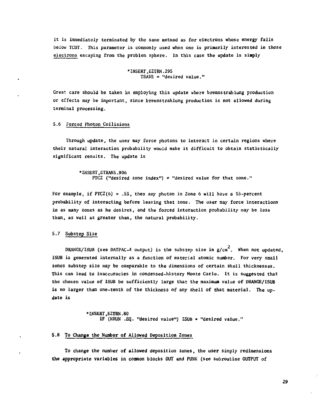**it is immediately terminated by the same method as for electrons whose energy falls below TCUT. This parameter is commonly used when one is priaarily interested in those electrons escaping from the problem sphere. In this case the update is simply** 

> **\* INSERT,EZTRN.295 TSAVE = "desired value."**

**Great care should be taken in employing this update where bremsstrahlung production or effects may be important, since bremsstrahlung production is not allowed during terminal processing.** 

**5.6 Forced Photon Collisions** 

**Through update, the user may force photons to interact in certain regions where their natural interaction probability would make it difficult to obtain statistically significant results. The update is** 

> **•INSERT,ETRANS.906 PTCZ ("desired zone index") = "desired value for that zone."**

**For example, if PTCZ(6) = .55, then any photon in Zone 6 will have a 55-percent probability of interacting before leaving that zone. The user may force interactions in as many zones as he desires, and the forced interaction probability may be less than, as well as greater than, the natural probability.** 

**5.7 Substep Size** 

DRANGE/ISUB (see DATPAC-4 output) is the substep size in g/cm<sup>2</sup>. When not updated, **ISUB is generated internally as a function of material atomic number. For very small zones substep size may be comparable to the dimensions of certain shell thicknesses. This can lead to inaccuracies in condensed-history Monte Carlo. It is suggested that the chosen value of ISUB be sufficiently large that the maximum value of DRANGE/ISUB is no larger than one-tenth of the thickness of any shell of that material. The update is** 

> **•INSERT.EZTRN.80 IF (NRUN .EQ. "desired value") ISUB > "desired value."**

### **5.8 To Change the Number of Allowed Deposition Zones**

**To change the number of allowed deposition zones, the user simply rediraensions the appropriate variables in common blocks OUT and PUNK (see subroutine OUTPUT of**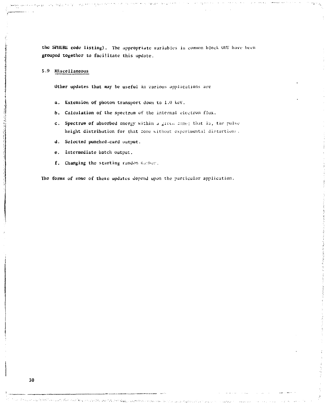the SPHERE code listing). The appropriate variables in common block OUT have been grouped together to facilitate this update.

5.9 Miscellaneous

Other updates that *may* be useful in various applications are

- a. Extension of photon transport down to 1.0 keV.
- b. Calculation of the spectrum of the internal electron flux.
- c. Spectrum of absorbed energy within a given fone: that is, the pulse height distribution for that tone without experimental distortions.
- d. Selected punched-card output.
- e. Intermediate batch output.
- f. Changing the starting random number.

The forms of some of these updates depend upon the particular application.